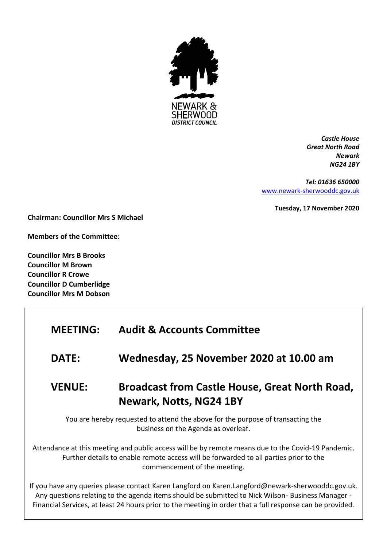

*Castle House Great North Road Newark NG24 1BY*

*Tel: 01636 650000* [www.newark-sherwooddc.gov.uk](http://www.newark-sherwooddc.gov.uk/)

**Tuesday, 17 November 2020**

**Chairman: Councillor Mrs S Michael**

**Members of the Committee:**

**Councillor Mrs B Brooks Councillor M Brown Councillor R Crowe Councillor D Cumberlidge Councillor Mrs M Dobson**

# **MEETING: Audit & Accounts Committee**

**DATE: Wednesday, 25 November 2020 at 10.00 am**

# **VENUE: Broadcast from Castle House, Great North Road, Newark, Notts, NG24 1BY**

You are hereby requested to attend the above for the purpose of transacting the business on the Agenda as overleaf.

Attendance at this meeting and public access will be by remote means due to the Covid-19 Pandemic. Further details to enable remote access will be forwarded to all parties prior to the commencement of the meeting.

If you have any queries please contact Karen Langford on Karen.Langford@newark-sherwooddc.gov.uk. Any questions relating to the agenda items should be submitted to Nick Wilson- Business Manager - Financial Services, at least 24 hours prior to the meeting in order that a full response can be provided.